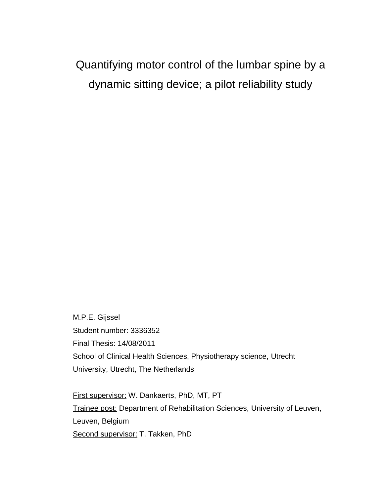Quantifying motor control of the lumbar spine by a dynamic sitting device; a pilot reliability study

M.P.E. Gijssel Student number: 3336352 Final Thesis: 14/08/2011 School of Clinical Health Sciences, Physiotherapy science, Utrecht University, Utrecht, The Netherlands

First supervisor: W. Dankaerts, PhD, MT, PT Trainee post: Department of Rehabilitation Sciences, University of Leuven, Leuven, Belgium Second supervisor: T. Takken, PhD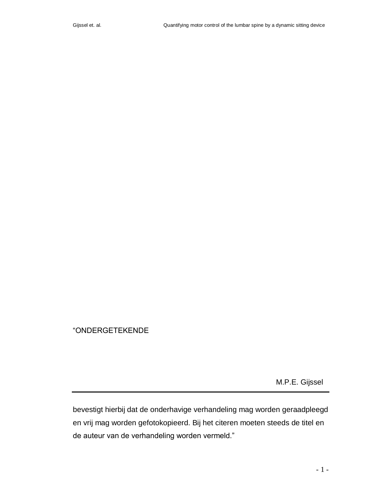## "ONDERGETEKENDE

M.P.E. Gijssel

bevestigt hierbij dat de onderhavige verhandeling mag worden geraadpleegd en vrij mag worden gefotokopieerd. Bij het citeren moeten steeds de titel en de auteur van de verhandeling worden vermeld."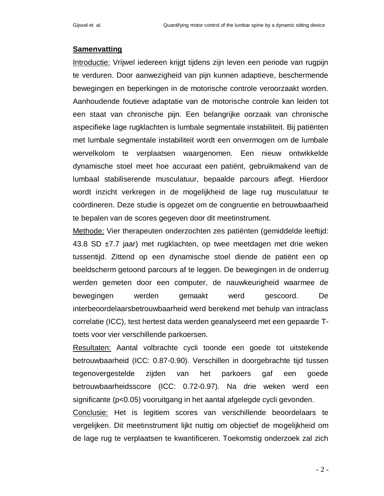#### **Samenvatting**

Introductie: Vrijwel iedereen krijgt tijdens zijn leven een periode van rugpijn te verduren. Door aanwezigheid van pijn kunnen adaptieve, beschermende bewegingen en beperkingen in de motorische controle veroorzaakt worden. Aanhoudende foutieve adaptatie van de motorische controle kan leiden tot een staat van chronische pijn. Een belangrijke oorzaak van chronische aspecifieke lage rugklachten is lumbale segmentale instabiliteit. Bij patiënten met lumbale segmentale instabiliteit wordt een onvermogen om de lumbale wervelkolom te verplaatsen waargenomen. Een nieuw ontwikkelde dynamische stoel meet hoe accuraat een patiënt, gebruikmakend van de lumbaal stabiliserende musculatuur, bepaalde parcours aflegt. Hierdoor wordt inzicht verkregen in de mogelijkheid de lage rug musculatuur te coördineren. Deze studie is opgezet om de congruentie en betrouwbaarheid te bepalen van de scores gegeven door dit meetinstrument.

Methode: Vier therapeuten onderzochten zes patiënten (gemiddelde leeftijd: 43.8 SD ±7.7 jaar) met rugklachten, op twee meetdagen met drie weken tussentijd. Zittend op een dynamische stoel diende de patiënt een op beeldscherm getoond parcours af te leggen. De bewegingen in de onderrug werden gemeten door een computer, de nauwkeurigheid waarmee de bewegingen werden gemaakt werd gescoord. De interbeoordelaarsbetrouwbaarheid werd berekend met behulp van intraclass correlatie (ICC), test hertest data werden geanalyseerd met een gepaarde Ttoets voor vier verschillende parkoersen.

Resultaten: Aantal volbrachte cycli toonde een goede tot uitstekende betrouwbaarheid (ICC: 0.87-0.90). Verschillen in doorgebrachte tijd tussen tegenovergestelde zijden van het parkoers gaf een goede betrouwbaarheidsscore (ICC: 0.72-0.97). Na drie weken werd een significante (p<0.05) vooruitgang in het aantal afgelegde cycli gevonden.

Conclusie: Het is legitiem scores van verschillende beoordelaars te vergelijken. Dit meetinstrument lijkt nuttig om objectief de mogelijkheid om de lage rug te verplaatsen te kwantificeren. Toekomstig onderzoek zal zich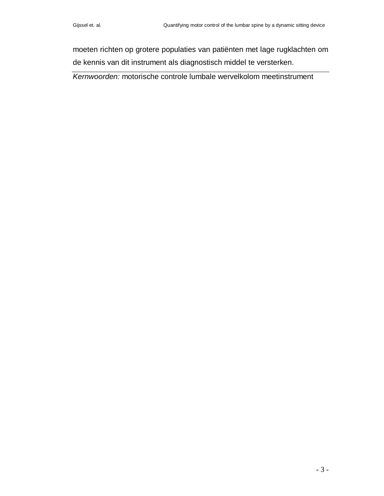moeten richten op grotere populaties van patiënten met lage rugklachten om de kennis van dit instrument als diagnostisch middel te versterken.

*Kernwoorden:* motorische controle lumbale wervelkolom meetinstrument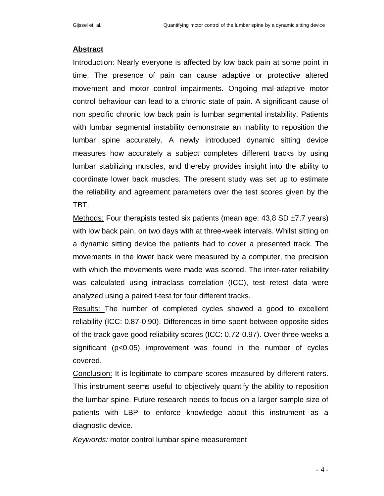## **Abstract**

Introduction: Nearly everyone is affected by low back pain at some point in time. The presence of pain can cause adaptive or protective altered movement and motor control impairments. Ongoing mal-adaptive motor control behaviour can lead to a chronic state of pain. A significant cause of non specific chronic low back pain is lumbar segmental instability. Patients with lumbar segmental instability demonstrate an inability to reposition the lumbar spine accurately. A newly introduced dynamic sitting device measures how accurately a subject completes different tracks by using lumbar stabilizing muscles, and thereby provides insight into the ability to coordinate lower back muscles. The present study was set up to estimate the reliability and agreement parameters over the test scores given by the TBT.

Methods: Four therapists tested six patients (mean age:  $43,8$  SD  $\pm 7,7$  years) with low back pain, on two days with at three-week intervals. Whilst sitting on a dynamic sitting device the patients had to cover a presented track. The movements in the lower back were measured by a computer, the precision with which the movements were made was scored. The inter-rater reliability was calculated using intraclass correlation (ICC), test retest data were analyzed using a paired t-test for four different tracks.

Results: The number of completed cycles showed a good to excellent reliability (ICC: 0.87-0.90). Differences in time spent between opposite sides of the track gave good reliability scores (ICC: 0.72-0.97). Over three weeks a significant (p<0.05) improvement was found in the number of cycles covered.

Conclusion: It is legitimate to compare scores measured by different raters. This instrument seems useful to objectively quantify the ability to reposition the lumbar spine. Future research needs to focus on a larger sample size of patients with LBP to enforce knowledge about this instrument as a diagnostic device.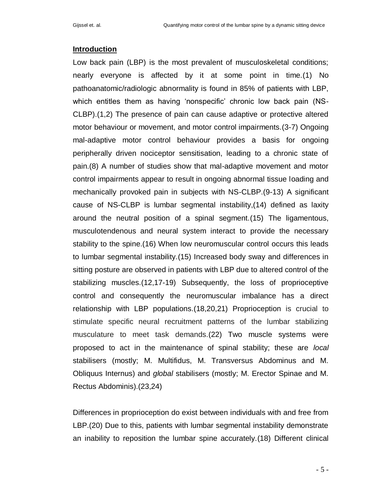### **Introduction**

Low back pain (LBP) is the most prevalent of musculoskeletal conditions; nearly everyone is affected by it at some point in time.(1) No pathoanatomic/radiologic abnormality is found in 85% of patients with LBP, which entitles them as having 'nonspecific' chronic low back pain (NS-CLBP).(1,2) The presence of pain can cause adaptive or protective altered motor behaviour or movement, and motor control impairments.(3-7) Ongoing mal-adaptive motor control behaviour provides a basis for ongoing peripherally driven nociceptor sensitisation, leading to a chronic state of pain.(8) A number of studies show that mal-adaptive movement and motor control impairments appear to result in ongoing abnormal tissue loading and mechanically provoked pain in subjects with NS-CLBP.(9-13) A significant cause of NS-CLBP is lumbar segmental instability,(14) defined as laxity around the neutral position of a spinal segment.(15) The ligamentous, musculotendenous and neural system interact to provide the necessary stability to the spine.(16) When low neuromuscular control occurs this leads to lumbar segmental instability.(15) Increased body sway and differences in sitting posture are observed in patients with LBP due to altered control of the stabilizing muscles.(12,17-19) Subsequently, the loss of proprioceptive control and consequently the neuromuscular imbalance has a direct relationship with LBP populations.(18,20,21) Proprioception is crucial to stimulate specific neural recruitment patterns of the lumbar stabilizing musculature to meet task demands.(22) Two muscle systems were proposed to act in the maintenance of spinal stability; these are *local*  stabilisers (mostly; M. Multifidus, M. Transversus Abdominus and M. Obliquus Internus) and *global* stabilisers (mostly; M. Erector Spinae and M. Rectus Abdominis).(23,24)

Differences in proprioception do exist between individuals with and free from LBP.(20) Due to this, patients with lumbar segmental instability demonstrate an inability to reposition the lumbar spine accurately.(18) Different clinical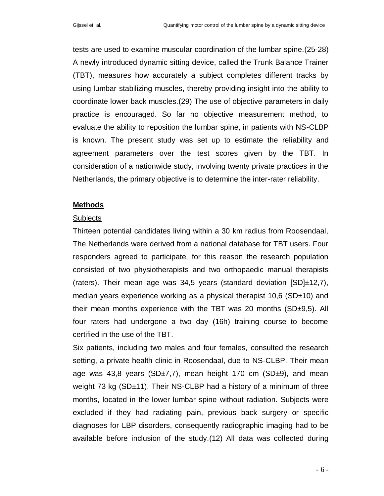tests are used to examine muscular coordination of the lumbar spine.(25-28) A newly introduced dynamic sitting device, called the Trunk Balance Trainer (TBT), measures how accurately a subject completes different tracks by using lumbar stabilizing muscles, thereby providing insight into the ability to coordinate lower back muscles.(29) The use of objective parameters in daily practice is encouraged. So far no objective measurement method, to evaluate the ability to reposition the lumbar spine, in patients with NS-CLBP is known. The present study was set up to estimate the reliability and agreement parameters over the test scores given by the TBT. In consideration of a nationwide study, involving twenty private practices in the Netherlands, the primary objective is to determine the inter-rater reliability.

#### **Methods**

#### Subjects

Thirteen potential candidates living within a 30 km radius from Roosendaal, The Netherlands were derived from a national database for TBT users. Four responders agreed to participate, for this reason the research population consisted of two physiotherapists and two orthopaedic manual therapists (raters). Their mean age was 34,5 years (standard deviation  $[SD] \pm 12,7$ ), median years experience working as a physical therapist 10,6 (SD±10) and their mean months experience with the TBT was 20 months  $(SD<sub>±</sub>9,5)$ . All four raters had undergone a two day (16h) training course to become certified in the use of the TBT.

Six patients, including two males and four females, consulted the research setting, a private health clinic in Roosendaal, due to NS-CLBP. Their mean age was 43,8 years (SD $\pm$ 7,7), mean height 170 cm (SD $\pm$ 9), and mean weight 73 kg (SD±11). Their NS-CLBP had a history of a minimum of three months, located in the lower lumbar spine without radiation. Subjects were excluded if they had radiating pain, previous back surgery or specific diagnoses for LBP disorders, consequently radiographic imaging had to be available before inclusion of the study.(12) All data was collected during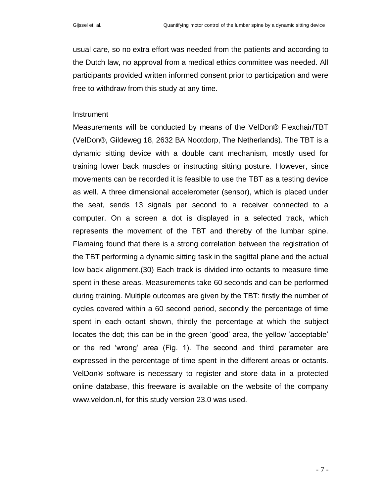usual care, so no extra effort was needed from the patients and according to the Dutch law, no approval from a medical ethics committee was needed. All participants provided written informed consent prior to participation and were free to withdraw from this study at any time.

#### Instrument

Measurements will be conducted by means of the VelDon® Flexchair/TBT (VelDon®, Gildeweg 18, 2632 BA Nootdorp, The Netherlands). The TBT is a dynamic sitting device with a double cant mechanism, mostly used for training lower back muscles or instructing sitting posture. However, since movements can be recorded it is feasible to use the TBT as a testing device as well. A three dimensional accelerometer (sensor), which is placed under the seat, sends 13 signals per second to a receiver connected to a computer. On a screen a dot is displayed in a selected track, which represents the movement of the TBT and thereby of the lumbar spine. Flamaing found that there is a strong correlation between the registration of the TBT performing a dynamic sitting task in the sagittal plane and the actual low back alignment.(30) Each track is divided into octants to measure time spent in these areas. Measurements take 60 seconds and can be performed during training. Multiple outcomes are given by the TBT: firstly the number of cycles covered within a 60 second period, secondly the percentage of time spent in each octant shown, thirdly the percentage at which the subject locates the dot; this can be in the green "good" area, the yellow "acceptable" or the red "wrong" area (Fig. 1). The second and third parameter are expressed in the percentage of time spent in the different areas or octants. VelDon® software is necessary to register and store data in a protected online database, this freeware is available on the website of the company www.veldon.nl, for this study version 23.0 was used.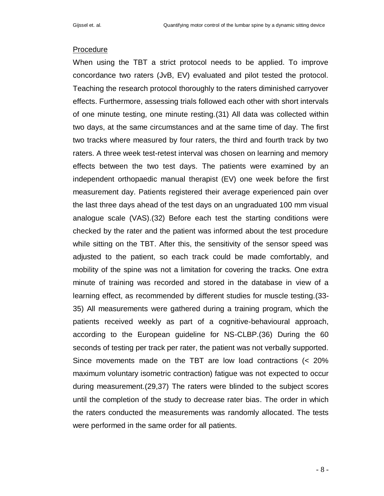#### Procedure

When using the TBT a strict protocol needs to be applied. To improve concordance two raters (JvB, EV) evaluated and pilot tested the protocol. Teaching the research protocol thoroughly to the raters diminished carryover effects. Furthermore, assessing trials followed each other with short intervals of one minute testing, one minute resting.(31) All data was collected within two days, at the same circumstances and at the same time of day. The first two tracks where measured by four raters, the third and fourth track by two raters. A three week test-retest interval was chosen on learning and memory effects between the two test days. The patients were examined by an independent orthopaedic manual therapist (EV) one week before the first measurement day. Patients registered their average experienced pain over the last three days ahead of the test days on an ungraduated 100 mm visual analogue scale (VAS).(32) Before each test the starting conditions were checked by the rater and the patient was informed about the test procedure while sitting on the TBT. After this, the sensitivity of the sensor speed was adjusted to the patient, so each track could be made comfortably, and mobility of the spine was not a limitation for covering the tracks. One extra minute of training was recorded and stored in the database in view of a learning effect, as recommended by different studies for muscle testing.(33- 35) All measurements were gathered during a training program, which the patients received weekly as part of a cognitive-behavioural approach, according to the European guideline for NS-CLBP.(36) During the 60 seconds of testing per track per rater, the patient was not verbally supported. Since movements made on the TBT are low load contractions (< 20% maximum voluntary isometric contraction) fatigue was not expected to occur during measurement.(29,37) The raters were blinded to the subject scores until the completion of the study to decrease rater bias. The order in which the raters conducted the measurements was randomly allocated. The tests were performed in the same order for all patients.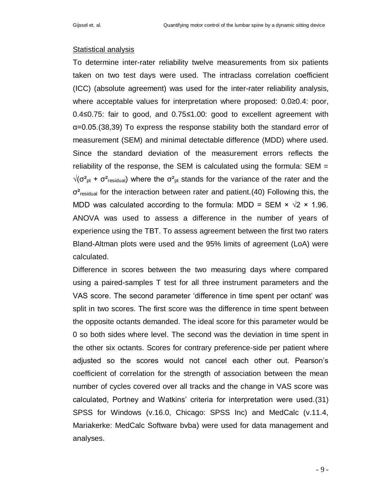#### Statistical analysis

To determine inter-rater reliability twelve measurements from six patients taken on two test days were used. The intraclass correlation coefficient (ICC) (absolute agreement) was used for the inter-rater reliability analysis, where acceptable values for interpretation where proposed: 0.0≥0.4: poor, 0.4≤0.75: fair to good, and 0.75≤1.00: good to excellent agreement with α=0.05.(38,39) To express the response stability both the standard error of measurement (SEM) and minimal detectable difference (MDD) where used. Since the standard deviation of the measurement errors reflects the reliability of the response, the SEM is calculated using the formula:  $SEM =$  $\sqrt{(}\sigma_{\rm pt}^2 + \sigma_{\rm residual}^2)$  where the  $\sigma_{\rm pt}^2$  stands for the variance of the rater and the  $\sigma^2$ <sub>residual</sub> for the interaction between rater and patient. (40) Following this, the MDD was calculated according to the formula: MDD = SEM  $\times \sqrt{2} \times 1.96$ . ANOVA was used to assess a difference in the number of years of experience using the TBT. To assess agreement between the first two raters Bland-Altman plots were used and the 95% limits of agreement (LoA) were calculated.

Difference in scores between the two measuring days where compared using a paired-samples T test for all three instrument parameters and the VAS score. The second parameter "difference in time spent per octant" was split in two scores. The first score was the difference in time spent between the opposite octants demanded. The ideal score for this parameter would be 0 so both sides where level. The second was the deviation in time spent in the other six octants. Scores for contrary preference-side per patient where adjusted so the scores would not cancel each other out. Pearson"s coefficient of correlation for the strength of association between the mean number of cycles covered over all tracks and the change in VAS score was calculated, Portney and Watkins" criteria for interpretation were used.(31) SPSS for Windows (v.16.0, Chicago: SPSS Inc) and MedCalc (v.11.4, Mariakerke: MedCalc Software bvba) were used for data management and analyses.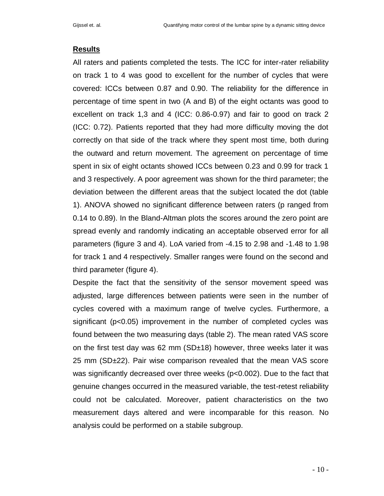## **Results**

All raters and patients completed the tests. The ICC for inter-rater reliability on track 1 to 4 was good to excellent for the number of cycles that were covered: ICCs between 0.87 and 0.90. The reliability for the difference in percentage of time spent in two (A and B) of the eight octants was good to excellent on track 1,3 and 4 (ICC: 0.86-0.97) and fair to good on track 2 (ICC: 0.72). Patients reported that they had more difficulty moving the dot correctly on that side of the track where they spent most time, both during the outward and return movement. The agreement on percentage of time spent in six of eight octants showed ICCs between 0.23 and 0.99 for track 1 and 3 respectively. A poor agreement was shown for the third parameter; the deviation between the different areas that the subject located the dot (table 1). ANOVA showed no significant difference between raters (p ranged from 0.14 to 0.89). In the Bland-Altman plots the scores around the zero point are spread evenly and randomly indicating an acceptable observed error for all parameters (figure 3 and 4). LoA varied from -4.15 to 2.98 and -1.48 to 1.98 for track 1 and 4 respectively. Smaller ranges were found on the second and third parameter (figure 4).

Despite the fact that the sensitivity of the sensor movement speed was adjusted, large differences between patients were seen in the number of cycles covered with a maximum range of twelve cycles. Furthermore, a significant (p<0.05) improvement in the number of completed cycles was found between the two measuring days (table 2). The mean rated VAS score on the first test day was 62 mm (SD±18) however, three weeks later it was 25 mm (SD±22). Pair wise comparison revealed that the mean VAS score was significantly decreased over three weeks (p<0.002). Due to the fact that genuine changes occurred in the measured variable, the test-retest reliability could not be calculated. Moreover, patient characteristics on the two measurement days altered and were incomparable for this reason. No analysis could be performed on a stabile subgroup.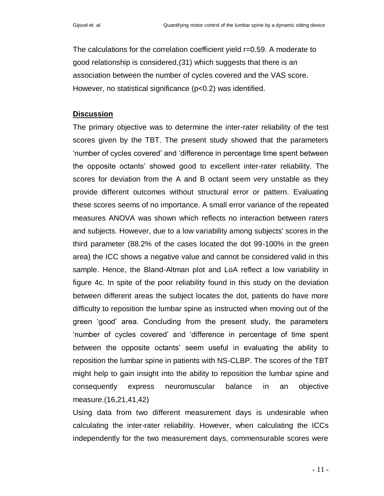The calculations for the correlation coefficient yield r=0.59. A moderate to good relationship is considered,(31) which suggests that there is an association between the number of cycles covered and the VAS score. However, no statistical significance (p<0.2) was identified.

## **Discussion**

The primary objective was to determine the inter-rater reliability of the test scores given by the TBT. The present study showed that the parameters "number of cycles covered" and "difference in percentage time spent between the opposite octants" showed good to excellent inter-rater reliability. The scores for deviation from the A and B octant seem very unstable as they provide different outcomes without structural error or pattern. Evaluating these scores seems of no importance. A small error variance of the repeated measures ANOVA was shown which reflects no interaction between raters and subjects. However, due to a low variability among subjects' scores in the third parameter (88.2% of the cases located the dot 99-100% in the green area) the ICC shows a negative value and cannot be considered valid in this sample. Hence, the Bland-Altman plot and LoA reflect a low variability in figure 4c. In spite of the poor reliability found in this study on the deviation between different areas the subject locates the dot, patients do have more difficulty to reposition the lumbar spine as instructed when moving out of the green "good" area. Concluding from the present study, the parameters "number of cycles covered" and "difference in percentage of time spent between the opposite octants" seem useful in evaluating the ability to reposition the lumbar spine in patients with NS-CLBP. The scores of the TBT might help to gain insight into the ability to reposition the lumbar spine and consequently express neuromuscular balance in an objective measure.(16,21,41,42)

Using data from two different measurement days is undesirable when calculating the inter-rater reliability. However, when calculating the ICCs independently for the two measurement days, commensurable scores were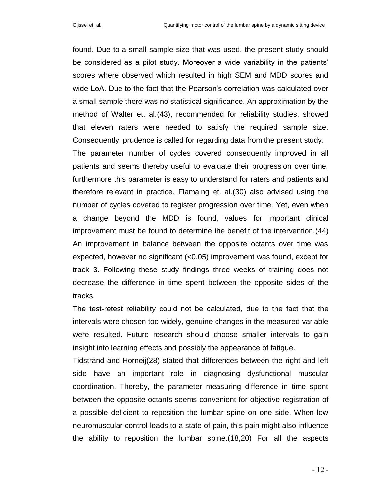found. Due to a small sample size that was used, the present study should be considered as a pilot study. Moreover a wide variability in the patients" scores where observed which resulted in high SEM and MDD scores and wide LoA. Due to the fact that the Pearson"s correlation was calculated over a small sample there was no statistical significance. An approximation by the method of Walter et. al.(43), recommended for reliability studies, showed that eleven raters were needed to satisfy the required sample size. Consequently, prudence is called for regarding data from the present study.

The parameter number of cycles covered consequently improved in all patients and seems thereby useful to evaluate their progression over time, furthermore this parameter is easy to understand for raters and patients and therefore relevant in practice. Flamaing et. al.(30) also advised using the number of cycles covered to register progression over time. Yet, even when a change beyond the MDD is found, values for important clinical improvement must be found to determine the benefit of the intervention.(44) An improvement in balance between the opposite octants over time was expected, however no significant (<0.05) improvement was found, except for track 3. Following these study findings three weeks of training does not decrease the difference in time spent between the opposite sides of the tracks.

The test-retest reliability could not be calculated, due to the fact that the intervals were chosen too widely, genuine changes in the measured variable were resulted. Future research should choose smaller intervals to gain insight into learning effects and possibly the appearance of fatigue.

Tidstrand and Horneij(28) stated that differences between the right and left side have an important role in diagnosing dysfunctional muscular coordination. Thereby, the parameter measuring difference in time spent between the opposite octants seems convenient for objective registration of a possible deficient to reposition the lumbar spine on one side. When low neuromuscular control leads to a state of pain, this pain might also influence the ability to reposition the lumbar spine.(18,20) For all the aspects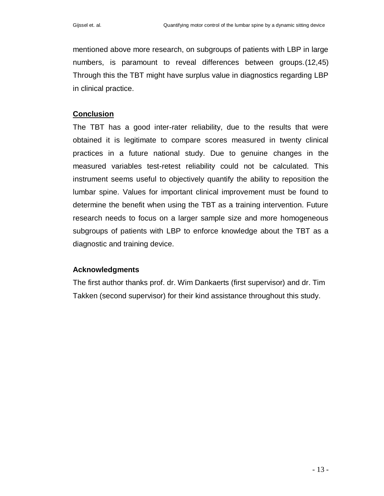mentioned above more research, on subgroups of patients with LBP in large numbers, is paramount to reveal differences between groups.(12,45) Through this the TBT might have surplus value in diagnostics regarding LBP in clinical practice.

# **Conclusion**

The TBT has a good inter-rater reliability, due to the results that were obtained it is legitimate to compare scores measured in twenty clinical practices in a future national study. Due to genuine changes in the measured variables test-retest reliability could not be calculated. This instrument seems useful to objectively quantify the ability to reposition the lumbar spine. Values for important clinical improvement must be found to determine the benefit when using the TBT as a training intervention. Future research needs to focus on a larger sample size and more homogeneous subgroups of patients with LBP to enforce knowledge about the TBT as a diagnostic and training device.

# **Acknowledgments**

The first author thanks prof. dr. Wim Dankaerts (first supervisor) and dr. Tim Takken (second supervisor) for their kind assistance throughout this study.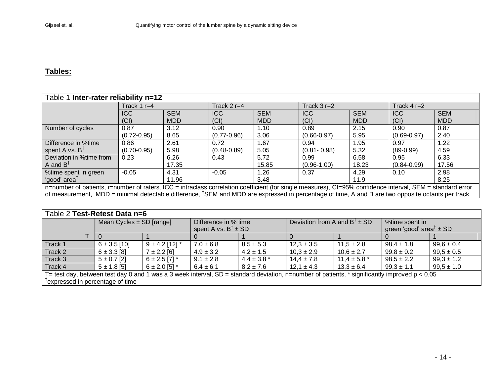# **Tables:**

| Table 1 Inter-rater reliability n=12                                                                                                                          |                 |            |                 |            |                 |            |                 |            |  |  |  |
|---------------------------------------------------------------------------------------------------------------------------------------------------------------|-----------------|------------|-----------------|------------|-----------------|------------|-----------------|------------|--|--|--|
|                                                                                                                                                               | Track 1 $r=4$   |            | Track 2 $r=4$   |            | Track $3r=2$    |            | Track $4r=2$    |            |  |  |  |
|                                                                                                                                                               | <b>ICC</b>      | <b>SEM</b> | <b>ICC</b>      | <b>SEM</b> | <b>ICC</b>      | <b>SEM</b> | <b>ICC</b>      | <b>SEM</b> |  |  |  |
|                                                                                                                                                               | (CI)            | <b>MDD</b> | (CI)            | <b>MDD</b> | (Cl)            | <b>MDD</b> | (CI)            | <b>MDD</b> |  |  |  |
| Number of cycles                                                                                                                                              | 0.87            | 3.12       | 0.90            | 1.10       | 0.89            | 2.15       | 0.90            | 0.87       |  |  |  |
|                                                                                                                                                               | $(0.72 - 0.95)$ | 8.65       | $(0.77 - 0.96)$ | 3.06       | $(0.66 - 0.97)$ | 5.95       | $(0.69 - 0.97)$ | 2.40       |  |  |  |
| Difference in %time                                                                                                                                           | 0.86            | 2.61       | 0.72            | 1.67       | 0.94            | 1.95       | 0.97            | 1.22       |  |  |  |
| spent A vs. $B^{\dagger}$                                                                                                                                     | $(0.70 - 0.95)$ | 5.98       | $(0.48 - 0.89)$ | 5.05       | $(0.81 - 0.98)$ | 5.32       | $(89-0.99)$     | 4.59       |  |  |  |
| Deviation in %time from                                                                                                                                       | 0.23            | 6.26       | 0.43            | 5.72       | 0.99            | 6.58       | 0.95            | 6.33       |  |  |  |
| A and $BT$                                                                                                                                                    |                 | 17.35      |                 | 15.85      | $(0.96 - 1.00)$ | 18.23      | $(0.84 - 0.99)$ | 17.56      |  |  |  |
| %time spent in green                                                                                                                                          | $-0.05$         | 4.31       | $-0.05$         | 1.26       | 0.37            | 4.29       | 0.10            | 2.98       |  |  |  |
| 'good' area <sup>T</sup>                                                                                                                                      |                 | 11.96      |                 | 3.48       |                 | 11.9       |                 | 8.25       |  |  |  |
| n=number of patients, r=number of raters, ICC = intraclass correlation coefficient (for single measures), CI=95% confidence interval, SEM = standard error    |                 |            |                 |            |                 |            |                 |            |  |  |  |
| of measurement, MDD = minimal detectable difference, <sup>†</sup> SEM and MDD are expressed in percentage of time, A and B are two opposite octants per track |                 |            |                 |            |                 |            |                 |            |  |  |  |

| Table 2 Test-Retest Data n=6                                                                                                                      |                              |                     |                                                          |                 |                                           |                  |                                                           |                |  |  |  |  |
|---------------------------------------------------------------------------------------------------------------------------------------------------|------------------------------|---------------------|----------------------------------------------------------|-----------------|-------------------------------------------|------------------|-----------------------------------------------------------|----------------|--|--|--|--|
|                                                                                                                                                   | Mean Cycles $\pm$ SD [range] |                     | Difference in % time<br>spent A vs. $B^{\dagger} \pm SD$ |                 | Deviation from A and $B^{\dagger} \pm SD$ |                  | %time spent in<br>green 'good' area <sup>†</sup> $\pm$ SD |                |  |  |  |  |
|                                                                                                                                                   |                              |                     |                                                          |                 |                                           |                  |                                                           |                |  |  |  |  |
|                                                                                                                                                   |                              |                     |                                                          |                 |                                           |                  |                                                           |                |  |  |  |  |
| Track 1                                                                                                                                           | $6 \pm 3.5$ [10]             | $9 \pm 4.2$ [12] *  | $7.0 \pm 6.8$                                            | $8.5 \pm 5.3$   | $12.3 \pm 3.5$                            | $11.5 \pm 2.8$   | $98,4 \pm 1.8$                                            | $99,6 \pm 0.4$ |  |  |  |  |
| Track 2                                                                                                                                           | $6 \pm 3.3$ [8]              | $7 \pm 2.2$ [6]     | $4.9 \pm 3.2$                                            | $4.2 \pm 1.5$   | $10,3 \pm 2.9$                            | $10,6 \pm 2.7$   | $99.8 \pm 0.2$                                            | $99.5 \pm 0.5$ |  |  |  |  |
| Track 3                                                                                                                                           | $5 \pm 0.7$ [2]              | $6 \pm 2.5$ [7] $*$ | $9.1 \pm 2.8$                                            | $4.4 \pm 3.8$ * | $14.4 \pm 7.8$                            | $11.4 \pm 5.8$ * | $98.5 \pm 2.2$                                            | $99.3 \pm 1.2$ |  |  |  |  |
| Track 4                                                                                                                                           | $5 \pm 1.8$ [5]              | $6 \pm 2.0$ [5] $*$ | $6.4 \pm 6.1$                                            | $8.2 \pm 7.6$   | $12.1 \pm 4.3$                            | $13.3 \pm 6.4$   | $99.3 \pm 1.1$                                            | $99.5 \pm 1.0$ |  |  |  |  |
| T= test day, between test day 0 and 1 was a 3 week interval, $SD =$ standard deviation, n=number of patients, * significantly improved $p < 0.05$ |                              |                     |                                                          |                 |                                           |                  |                                                           |                |  |  |  |  |
| <sup>T</sup> expressed in percentage of time                                                                                                      |                              |                     |                                                          |                 |                                           |                  |                                                           |                |  |  |  |  |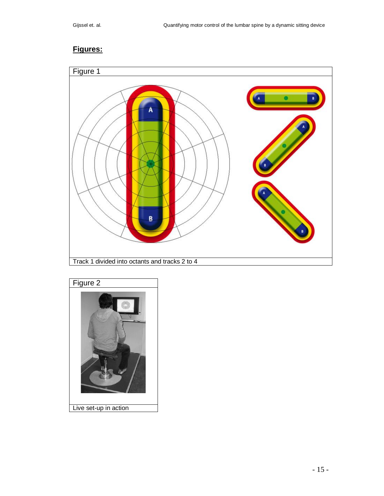# **Figures:**



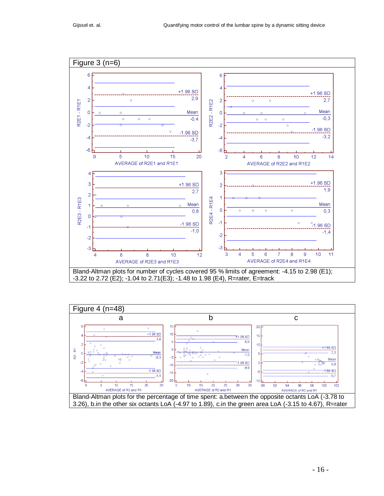

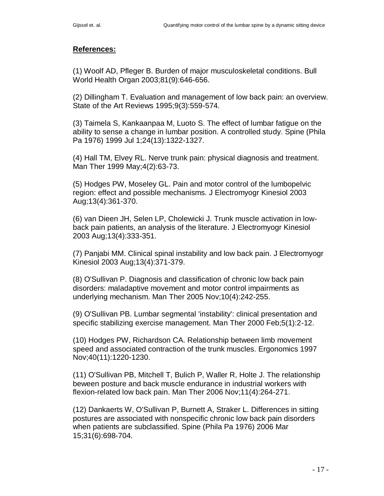# **References:**

(1) Woolf AD, Pfleger B. Burden of major musculoskeletal conditions. Bull World Health Organ 2003;81(9):646-656.

(2) Dillingham T. Evaluation and management of low back pain: an overview. State of the Art Reviews 1995;9(3):559-574.

(3) Taimela S, Kankaanpaa M, Luoto S. The effect of lumbar fatigue on the ability to sense a change in lumbar position. A controlled study. Spine (Phila Pa 1976) 1999 Jul 1;24(13):1322-1327.

(4) Hall TM, Elvey RL. Nerve trunk pain: physical diagnosis and treatment. Man Ther 1999 May;4(2):63-73.

(5) Hodges PW, Moseley GL. Pain and motor control of the lumbopelvic region: effect and possible mechanisms. J Electromyogr Kinesiol 2003 Aug;13(4):361-370.

(6) van Dieen JH, Selen LP, Cholewicki J. Trunk muscle activation in lowback pain patients, an analysis of the literature. J Electromyogr Kinesiol 2003 Aug;13(4):333-351.

(7) Panjabi MM. Clinical spinal instability and low back pain. J Electromyogr Kinesiol 2003 Aug;13(4):371-379.

(8) O'Sullivan P. Diagnosis and classification of chronic low back pain disorders: maladaptive movement and motor control impairments as underlying mechanism. Man Ther 2005 Nov;10(4):242-255.

(9) O'Sullivan PB. Lumbar segmental 'instability': clinical presentation and specific stabilizing exercise management. Man Ther 2000 Feb;5(1):2-12.

(10) Hodges PW, Richardson CA. Relationship between limb movement speed and associated contraction of the trunk muscles. Ergonomics 1997 Nov;40(11):1220-1230.

(11) O'Sullivan PB, Mitchell T, Bulich P, Waller R, Holte J. The relationship beween posture and back muscle endurance in industrial workers with flexion-related low back pain. Man Ther 2006 Nov;11(4):264-271.

(12) Dankaerts W, O'Sullivan P, Burnett A, Straker L. Differences in sitting postures are associated with nonspecific chronic low back pain disorders when patients are subclassified. Spine (Phila Pa 1976) 2006 Mar 15;31(6):698-704.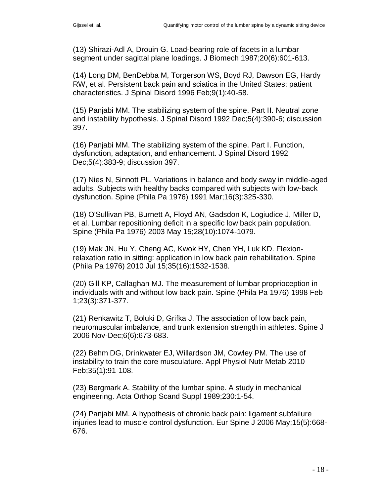(13) Shirazi-Adl A, Drouin G. Load-bearing role of facets in a lumbar segment under sagittal plane loadings. J Biomech 1987;20(6):601-613.

(14) Long DM, BenDebba M, Torgerson WS, Boyd RJ, Dawson EG, Hardy RW, et al. Persistent back pain and sciatica in the United States: patient characteristics. J Spinal Disord 1996 Feb;9(1):40-58.

(15) Panjabi MM. The stabilizing system of the spine. Part II. Neutral zone and instability hypothesis. J Spinal Disord 1992 Dec;5(4):390-6; discussion 397.

(16) Panjabi MM. The stabilizing system of the spine. Part I. Function, dysfunction, adaptation, and enhancement. J Spinal Disord 1992 Dec;5(4):383-9; discussion 397.

(17) Nies N, Sinnott PL. Variations in balance and body sway in middle-aged adults. Subjects with healthy backs compared with subjects with low-back dysfunction. Spine (Phila Pa 1976) 1991 Mar;16(3):325-330.

(18) O'Sullivan PB, Burnett A, Floyd AN, Gadsdon K, Logiudice J, Miller D, et al. Lumbar repositioning deficit in a specific low back pain population. Spine (Phila Pa 1976) 2003 May 15;28(10):1074-1079.

(19) Mak JN, Hu Y, Cheng AC, Kwok HY, Chen YH, Luk KD. Flexionrelaxation ratio in sitting: application in low back pain rehabilitation. Spine (Phila Pa 1976) 2010 Jul 15;35(16):1532-1538.

(20) Gill KP, Callaghan MJ. The measurement of lumbar proprioception in individuals with and without low back pain. Spine (Phila Pa 1976) 1998 Feb 1;23(3):371-377.

(21) Renkawitz T, Boluki D, Grifka J. The association of low back pain, neuromuscular imbalance, and trunk extension strength in athletes. Spine J 2006 Nov-Dec;6(6):673-683.

(22) Behm DG, Drinkwater EJ, Willardson JM, Cowley PM. The use of instability to train the core musculature. Appl Physiol Nutr Metab 2010 Feb;35(1):91-108.

(23) Bergmark A. Stability of the lumbar spine. A study in mechanical engineering. Acta Orthop Scand Suppl 1989;230:1-54.

(24) Panjabi MM. A hypothesis of chronic back pain: ligament subfailure injuries lead to muscle control dysfunction. Eur Spine J 2006 May;15(5):668- 676.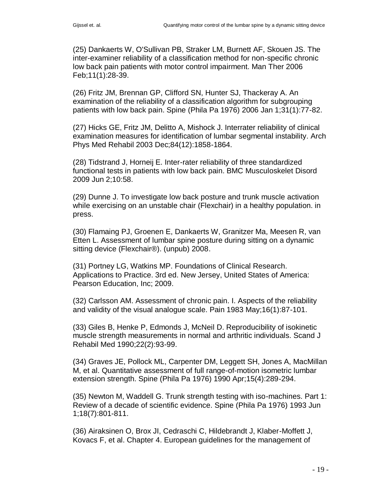(25) Dankaerts W, O'Sullivan PB, Straker LM, Burnett AF, Skouen JS. The inter-examiner reliability of a classification method for non-specific chronic low back pain patients with motor control impairment. Man Ther 2006 Feb;11(1):28-39.

(26) Fritz JM, Brennan GP, Clifford SN, Hunter SJ, Thackeray A. An examination of the reliability of a classification algorithm for subgrouping patients with low back pain. Spine (Phila Pa 1976) 2006 Jan 1;31(1):77-82.

(27) Hicks GE, Fritz JM, Delitto A, Mishock J. Interrater reliability of clinical examination measures for identification of lumbar segmental instability. Arch Phys Med Rehabil 2003 Dec;84(12):1858-1864.

(28) Tidstrand J, Horneij E. Inter-rater reliability of three standardized functional tests in patients with low back pain. BMC Musculoskelet Disord 2009 Jun 2;10:58.

(29) Dunne J. To investigate low back posture and trunk muscle activation while exercising on an unstable chair (Flexchair) in a healthy population. in press.

(30) Flamaing PJ, Groenen E, Dankaerts W, Granitzer Ma, Meesen R, van Etten L. Assessment of lumbar spine posture during sitting on a dynamic sitting device (Flexchair®). (unpub) 2008.

(31) Portney LG, Watkins MP. Foundations of Clinical Research. Applications to Practice. 3rd ed. New Jersey, United States of America: Pearson Education, Inc; 2009.

(32) Carlsson AM. Assessment of chronic pain. I. Aspects of the reliability and validity of the visual analogue scale. Pain 1983 May;16(1):87-101.

(33) Giles B, Henke P, Edmonds J, McNeil D. Reproducibility of isokinetic muscle strength measurements in normal and arthritic individuals. Scand J Rehabil Med 1990;22(2):93-99.

(34) Graves JE, Pollock ML, Carpenter DM, Leggett SH, Jones A, MacMillan M, et al. Quantitative assessment of full range-of-motion isometric lumbar extension strength. Spine (Phila Pa 1976) 1990 Apr;15(4):289-294.

(35) Newton M, Waddell G. Trunk strength testing with iso-machines. Part 1: Review of a decade of scientific evidence. Spine (Phila Pa 1976) 1993 Jun 1;18(7):801-811.

(36) Airaksinen O, Brox JI, Cedraschi C, Hildebrandt J, Klaber-Moffett J, Kovacs F, et al. Chapter 4. European guidelines for the management of